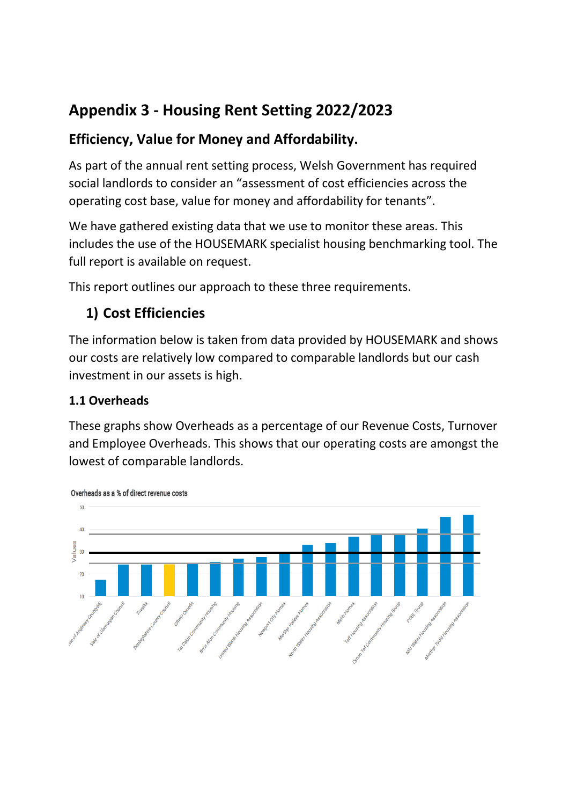# **Appendix 3 - Housing Rent Setting 2022/2023**

### **Efficiency, Value for Money and Affordability.**

As part of the annual rent setting process, Welsh Government has required social landlords to consider an "assessment of cost efficiencies across the operating cost base, value for money and affordability for tenants".

We have gathered existing data that we use to monitor these areas. This includes the use of the HOUSEMARK specialist housing benchmarking tool. The full report is available on request.

This report outlines our approach to these three requirements.

## **1) Cost Efficiencies**

The information below is taken from data provided by HOUSEMARK and shows our costs are relatively low compared to comparable landlords but our cash investment in our assets is high.

#### **1.1 Overheads**

These graphs show Overheads as a percentage of our Revenue Costs, Turnover and Employee Overheads. This shows that our operating costs are amongst the lowest of comparable landlords.



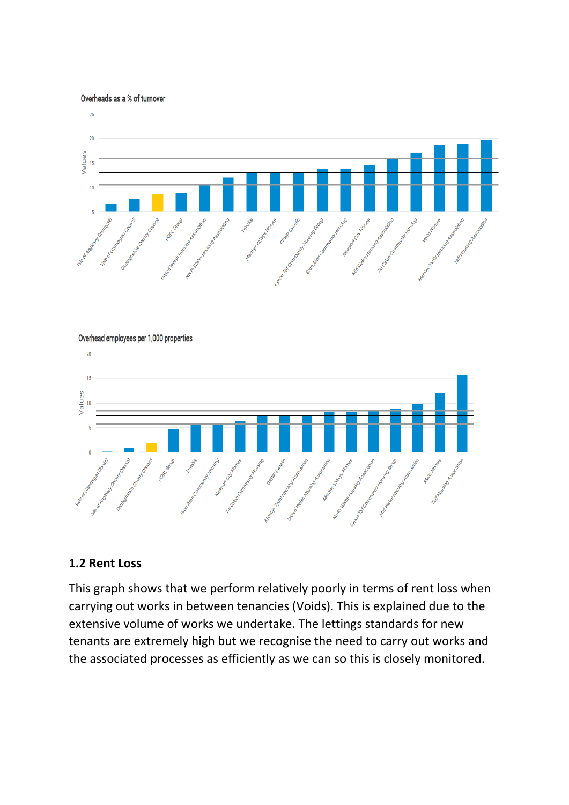Overheads as a % of turnover



#### Overhead employees per 1,000 properties



#### **1.2 Rent Loss**

This graph shows that we perform relatively poorly in terms of rent loss when carrying out works in between tenancies (Voids). This is explained due to the extensive volume of works we undertake. The lettings standards for new tenants are extremely high but we recognise the need to carry out works and the associated processes as efficiently as we can so this is closely monitored.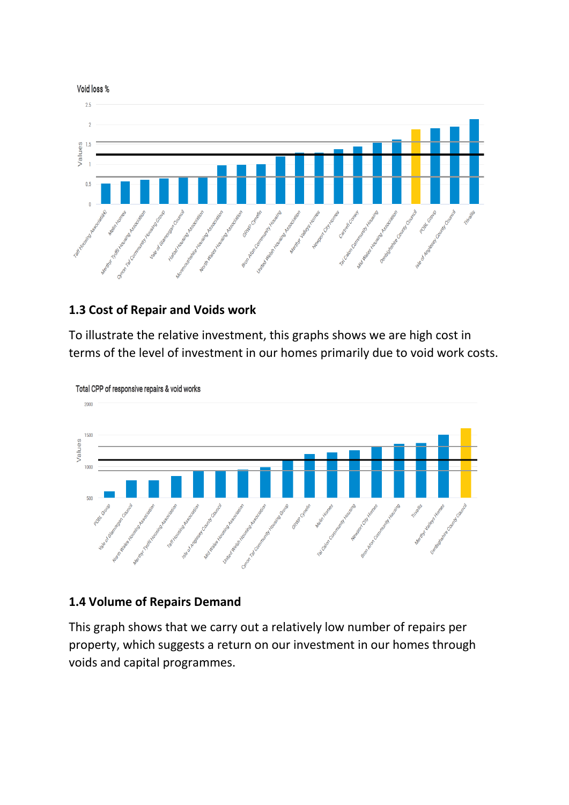

#### **1.3 Cost of Repair and Voids work**

To illustrate the relative investment, this graphs shows we are high cost in terms of the level of investment in our homes primarily due to void work costs.



Total CPP of responsive repairs & void works

#### **1.4 Volume of Repairs Demand**

This graph shows that we carry out a relatively low number of repairs per property, which suggests a return on our investment in our homes through voids and capital programmes.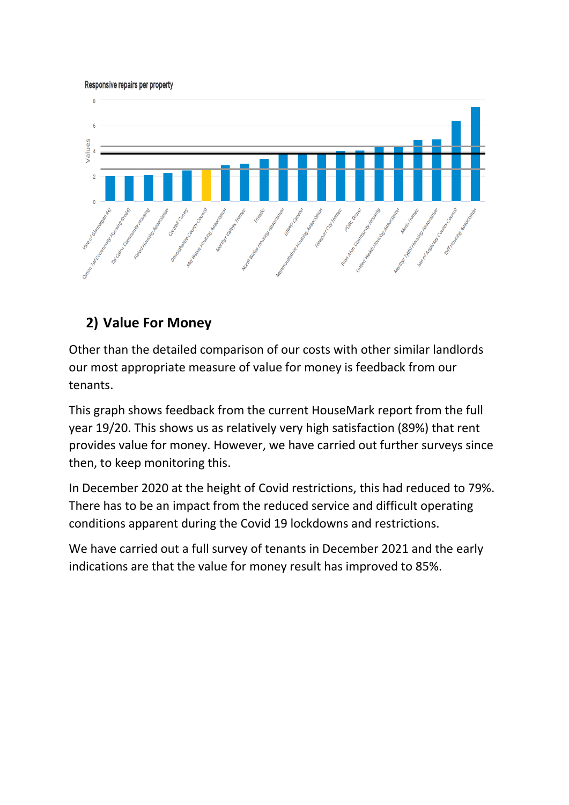Responsive repairs per property



### **2) Value For Money**

Other than the detailed comparison of our costs with other similar landlords our most appropriate measure of value for money is feedback from our tenants.

This graph shows feedback from the current HouseMark report from the full year 19/20. This shows us as relatively very high satisfaction (89%) that rent provides value for money. However, we have carried out further surveys since then, to keep monitoring this.

In December 2020 at the height of Covid restrictions, this had reduced to 79%. There has to be an impact from the reduced service and difficult operating conditions apparent during the Covid 19 lockdowns and restrictions.

We have carried out a full survey of tenants in December 2021 and the early indications are that the value for money result has improved to 85%.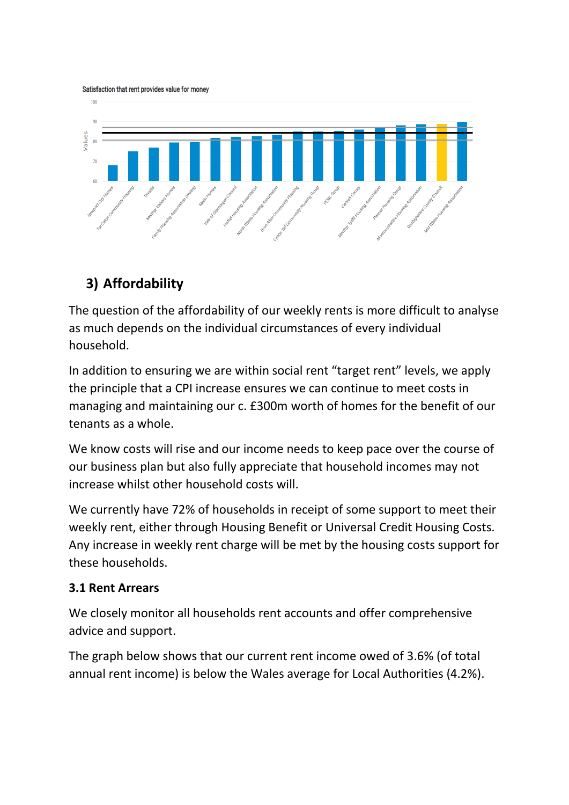Satisfaction that rent provides value for money



## **3) Affordability**

The question of the affordability of our weekly rents is more difficult to analyse as much depends on the individual circumstances of every individual household.

In addition to ensuring we are within social rent "target rent" levels, we apply the principle that a CPI increase ensures we can continue to meet costs in managing and maintaining our c. £300m worth of homes for the benefit of our tenants as a whole.

We know costs will rise and our income needs to keep pace over the course of our business plan but also fully appreciate that household incomes may not increase whilst other household costs will.

We currently have 72% of households in receipt of some support to meet their weekly rent, either through Housing Benefit or Universal Credit Housing Costs. Any increase in weekly rent charge will be met by the housing costs support for these households.

#### **3.1 Rent Arrears**

We closely monitor all households rent accounts and offer comprehensive advice and support.

The graph below shows that our current rent income owed of 3.6% (of total annual rent income) is below the Wales average for Local Authorities (4.2%).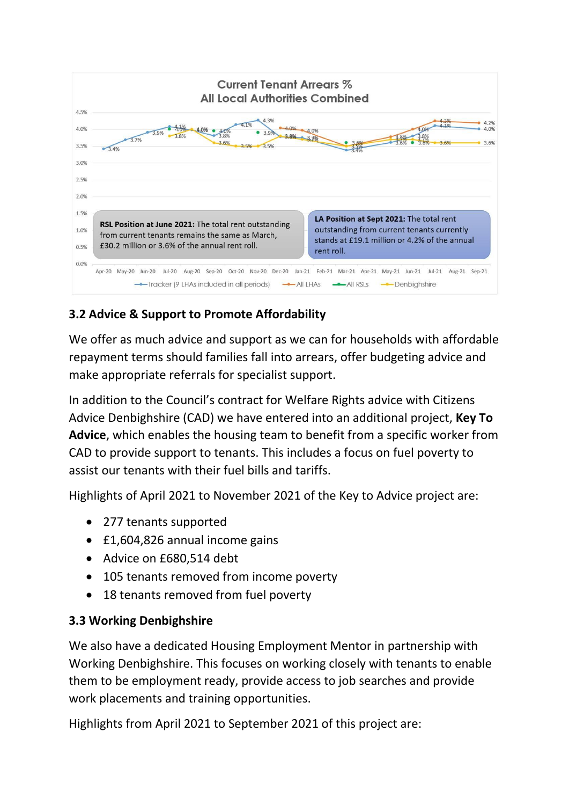

### **3.2 Advice & Support to Promote Affordability**

We offer as much advice and support as we can for households with affordable repayment terms should families fall into arrears, offer budgeting advice and make appropriate referrals for specialist support.

In addition to the Council's contract for Welfare Rights advice with Citizens Advice Denbighshire (CAD) we have entered into an additional project, **Key To Advice**, which enables the housing team to benefit from a specific worker from CAD to provide support to tenants. This includes a focus on fuel poverty to assist our tenants with their fuel bills and tariffs.

Highlights of April 2021 to November 2021 of the Key to Advice project are:

- 277 tenants supported
- £1,604,826 annual income gains
- Advice on £680,514 debt
- 105 tenants removed from income poverty
- 18 tenants removed from fuel poverty

#### **3.3 Working Denbighshire**

We also have a dedicated Housing Employment Mentor in partnership with Working Denbighshire. This focuses on working closely with tenants to enable them to be employment ready, provide access to job searches and provide work placements and training opportunities.

Highlights from April 2021 to September 2021 of this project are: